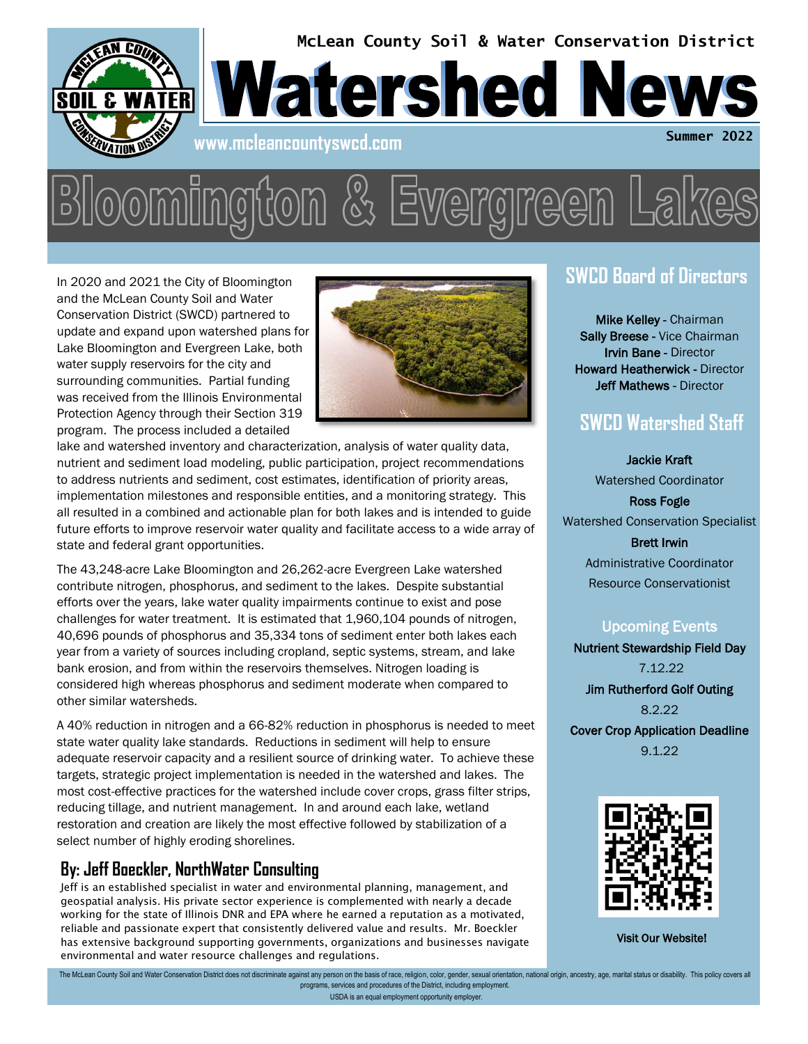

In 2020 and 2021 the City of Bloomington and the McLean County Soil and Water Conservation District (SWCD) partnered to update and expand upon watershed plans for Lake Bloomington and Evergreen Lake, both water supply reservoirs for the city and surrounding communities. Partial funding was received from the Illinois Environmental Protection Agency through their Section 319 program. The process included a detailed



lake and watershed inventory and characterization, analysis of water quality data, nutrient and sediment load modeling, public participation, project recommendations to address nutrients and sediment, cost estimates, identification of priority areas, implementation milestones and responsible entities, and a monitoring strategy. This all resulted in a combined and actionable plan for both lakes and is intended to guide future efforts to improve reservoir water quality and facilitate access to a wide array of state and federal grant opportunities.

The 43,248-acre Lake Bloomington and 26,262-acre Evergreen Lake watershed contribute nitrogen, phosphorus, and sediment to the lakes. Despite substantial efforts over the years, lake water quality impairments continue to exist and pose challenges for water treatment. It is estimated that 1,960,104 pounds of nitrogen, 40,696 pounds of phosphorus and 35,334 tons of sediment enter both lakes each year from a variety of sources including cropland, septic systems, stream, and lake bank erosion, and from within the reservoirs themselves. Nitrogen loading is considered high whereas phosphorus and sediment moderate when compared to other similar watersheds.

A 40% reduction in nitrogen and a 66-82% reduction in phosphorus is needed to meet state water quality lake standards. Reductions in sediment will help to ensure adequate reservoir capacity and a resilient source of drinking water. To achieve these targets, strategic project implementation is needed in the watershed and lakes. The most cost-effective practices for the watershed include cover crops, grass filter strips, reducing tillage, and nutrient management. In and around each lake, wetland restoration and creation are likely the most effective followed by stabilization of a select number of highly eroding shorelines.

#### **By: Jeff Boeckler, NorthWater Consulting**

Jeff is an established specialist in water and environmental planning, management, and geospatial analysis. His private sector experience is complemented with nearly a decade working for the state of Illinois DNR and EPA where he earned a reputation as a motivated, reliable and passionate expert that consistently delivered value and results. Mr. Boeckler has extensive background supporting governments, organizations and businesses navigate environmental and water resource challenges and regulations.

### **SWCD Board of Directors**

Mike Kelley - Chairman Sally Breese - Vice Chairman Irvin Bane - Director Howard Heatherwick - Director Jeff Mathews - Director

## **SWCD Watershed Staff**

Jackie Kraft Watershed Coordinator

Ross Fogle Watershed Conservation Specialist

> Brett Irwin Administrative Coordinator Resource Conservationist

#### Upcoming Events

Nutrient Stewardship Field Day 7.12.22 Jim Rutherford Golf Outing 8.2.22 Cover Crop Application Deadline 9.1.22



Visit Our Website!

USDA is an equal employment opportunity employer. The McLean County Soil and Water Conservation District does not discriminate against any person on the basis of race, religion, color, gender, sexual orientation, national origin, ancestry, age, marital status or disabilit programs, services and procedures of the District, including employment.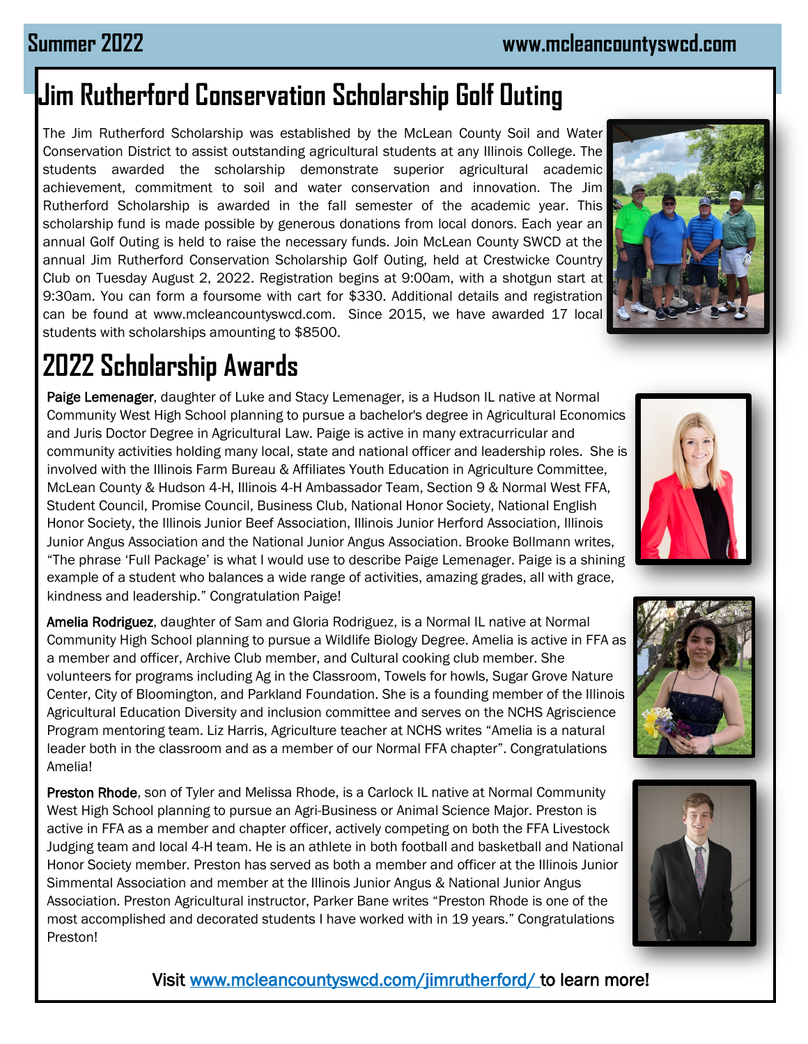## **Jim Rutherford Conservation Scholarship Golf Outing**

The Jim Rutherford Scholarship was established by the McLean County Soil and Water Conservation District to assist outstanding agricultural students at any Illinois College. The students awarded the scholarship demonstrate superior agricultural academic achievement, commitment to soil and water conservation and innovation. The Jim Rutherford Scholarship is awarded in the fall semester of the academic year. This scholarship fund is made possible by generous donations from local donors. Each year an annual Golf Outing is held to raise the necessary funds. Join McLean County SWCD at the annual Jim Rutherford Conservation Scholarship Golf Outing, held at Crestwicke Country Club on Tuesday August 2, 2022. Registration begins at 9:00am, with a shotgun start at 9:30am. You can form a foursome with cart for \$330. Additional details and registration can be found at www.mcleancountyswcd.com. Since 2015, we have awarded 17 local students with scholarships amounting to \$8500.

# **2022 Scholarship Awards**

Paige Lemenager, daughter of Luke and Stacy Lemenager, is a Hudson IL native at Normal Community West High School planning to pursue a bachelor's degree in Agricultural Economics and Juris Doctor Degree in Agricultural Law. Paige is active in many extracurricular and community activities holding many local, state and national officer and leadership roles. She is involved with the Illinois Farm Bureau & Affiliates Youth Education in Agriculture Committee, McLean County & Hudson 4-H, Illinois 4-H Ambassador Team, Section 9 & Normal West FFA, Student Council, Promise Council, Business Club, National Honor Society, National English Honor Society, the Illinois Junior Beef Association, Illinois Junior Herford Association, Illinois Junior Angus Association and the National Junior Angus Association. Brooke Bollmann writes, "The phrase 'Full Package' is what I would use to describe Paige Lemenager. Paige is a shining example of a student who balances a wide range of activities, amazing grades, all with grace, kindness and leadership." Congratulation Paige!

Amelia Rodriguez, daughter of Sam and Gloria Rodriguez, is a Normal IL native at Normal Community High School planning to pursue a Wildlife Biology Degree. Amelia is active in FFA as a member and officer, Archive Club member, and Cultural cooking club member. She volunteers for programs including Ag in the Classroom, Towels for howls, Sugar Grove Nature Center, City of Bloomington, and Parkland Foundation. She is a founding member of the Illinois Agricultural Education Diversity and inclusion committee and serves on the NCHS Agriscience Program mentoring team. Liz Harris, Agriculture teacher at NCHS writes "Amelia is a natural leader both in the classroom and as a member of our Normal FFA chapter". Congratulations Amelia!

Preston Rhode, son of Tyler and Melissa Rhode, is a Carlock IL native at Normal Community West High School planning to pursue an Agri-Business or Animal Science Major. Preston is active in FFA as a member and chapter officer, actively competing on both the FFA Livestock Judging team and local 4-H team. He is an athlete in both football and basketball and National Honor Society member. Preston has served as both a member and officer at the Illinois Junior Simmental Association and member at the Illinois Junior Angus & National Junior Angus Association. Preston Agricultural instructor, Parker Bane writes "Preston Rhode is one of the most accomplished and decorated students I have worked with in 19 years." Congratulations Preston!







#### Visit www.mcleancountyswcd.com/jimrutherford/ to learn more!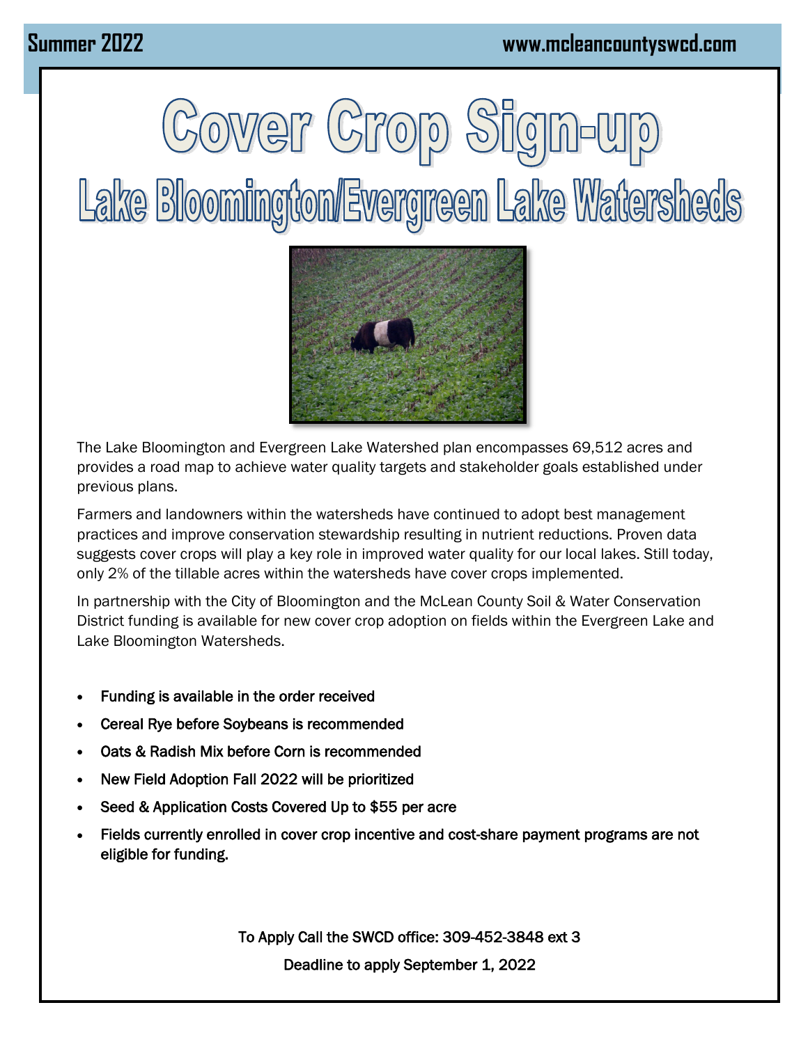



The Lake Bloomington and Evergreen Lake Watershed plan encompasses 69,512 acres and provides a road map to achieve water quality targets and stakeholder goals established under previous plans.

Farmers and landowners within the watersheds have continued to adopt best management practices and improve conservation stewardship resulting in nutrient reductions. Proven data suggests cover crops will play a key role in improved water quality for our local lakes. Still today, only 2% of the tillable acres within the watersheds have cover crops implemented.

In partnership with the City of Bloomington and the McLean County Soil & Water Conservation District funding is available for new cover crop adoption on fields within the Evergreen Lake and Lake Bloomington Watersheds.

- Funding is available in the order received
- Cereal Rye before Soybeans is recommended
- Oats & Radish Mix before Corn is recommended
- New Field Adoption Fall 2022 will be prioritized
- Seed & Application Costs Covered Up to \$55 per acre
- Fields currently enrolled in cover crop incentive and cost-share payment programs are not eligible for funding.

To Apply Call the SWCD office: 309-452-3848 ext 3 Deadline to apply September 1, 2022